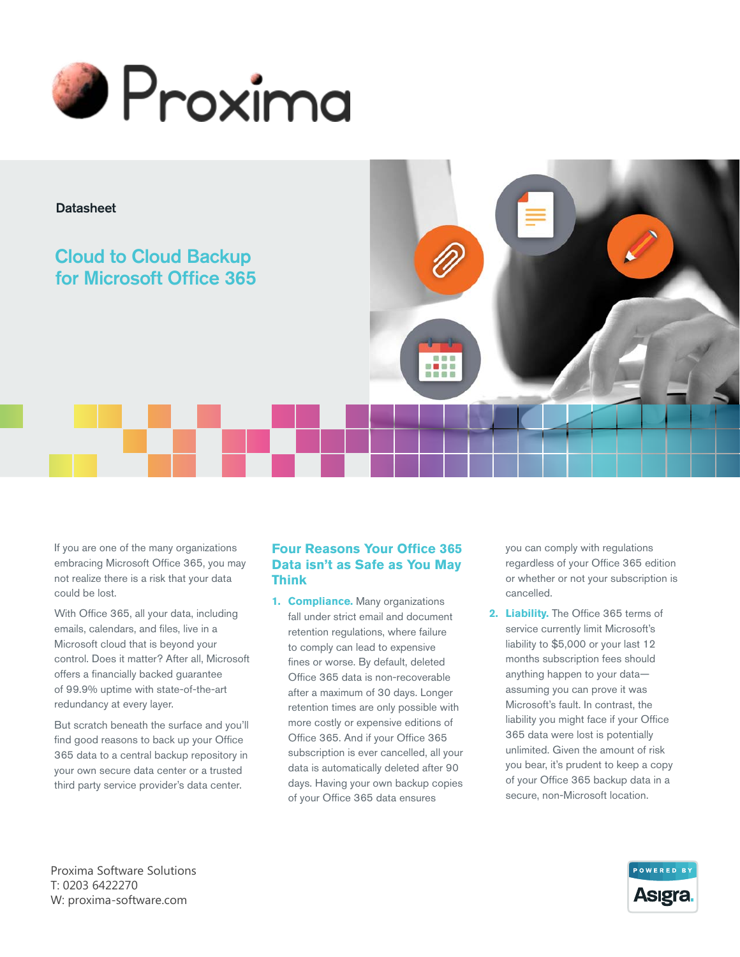



# Cloud to Cloud Backup for Microsoft Office 365

If you are one of the many organizations embracing Microsoft Office 365, you may not realize there is a risk that your data could be lost.

With Office 365, all your data, including emails, calendars, and files, live in a Microsoft cloud that is beyond your control. Does it matter? After all, Microsoft offers a financially backed guarantee of 99.9% uptime with state-of-the-art redundancy at every layer.

But scratch beneath the surface and you'll find good reasons to back up your Office 365 data to a central backup repository in your own secure data center or a trusted third party service provider's data center.

## **Four Reasons Your Office 365 Data isn't as Safe as You May Think**

8 <mark>-</mark> 8 S

**1. Compliance.** Many organizations fall under strict email and document retention regulations, where failure to comply can lead to expensive fines or worse. By default, deleted Office 365 data is non-recoverable after a maximum of 30 days. Longer retention times are only possible with more costly or expensive editions of Office 365. And if your Office 365 subscription is ever cancelled, all your data is automatically deleted after 90 days. Having your own backup copies of your Office 365 data ensures

you can comply with regulations regardless of your Office 365 edition or whether or not your subscription is cancelled.

**2. Liability.** The Office 365 terms of service currently limit Microsoft's liability to \$5,000 or your last 12 months subscription fees should anything happen to your data assuming you can prove it was Microsoft's fault. In contrast, the liability you might face if your Office 365 data were lost is potentially unlimited. Given the amount of risk you bear, it's prudent to keep a copy of your Office 365 backup data in a secure, non-Microsoft location.

Proxima Software Solutions T: 0203 6422270 W: proxima-software.com

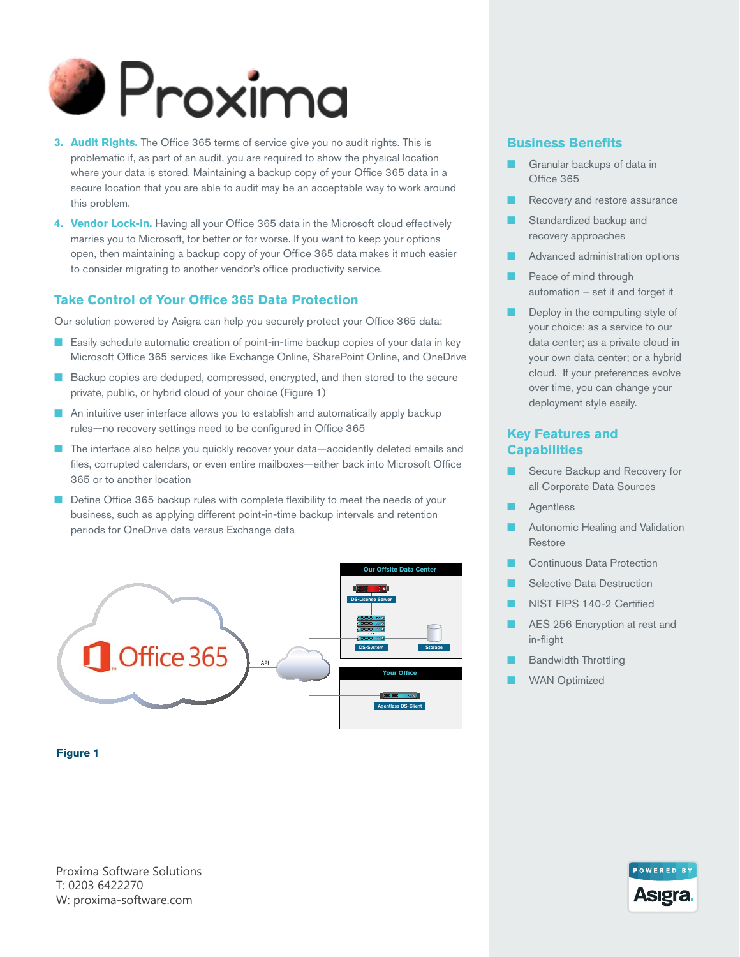

- **3. Audit Rights.** The Office 365 terms of service give you no audit rights. This is problematic if, as part of an audit, you are required to show the physical location where your data is stored. Maintaining a backup copy of your Office 365 data in a secure location that you are able to audit may be an acceptable way to work around this problem.
- **4. Vendor Lock-in.** Having all your Office 365 data in the Microsoft cloud effectively marries you to Microsoft, for better or for worse. If you want to keep your options open, then maintaining a backup copy of your Office 365 data makes it much easier to consider migrating to another vendor's office productivity service.

## **Take Control of Your Office 365 Data Protection**

Our solution powered by Asigra can help you securely protect your Office 365 data:

- Easily schedule automatic creation of point-in-time backup copies of your data in key Microsoft Office 365 services like Exchange Online, SharePoint Online, and OneDrive
- Backup copies are deduped, compressed, encrypted, and then stored to the secure private, public, or hybrid cloud of your choice (Figure 1)
- An intuitive user interface allows you to establish and automatically apply backup rules—no recovery settings need to be configured in Office 365
- The interface also helps you quickly recover your data—accidently deleted emails and files, corrupted calendars, or even entire mailboxes—either back into Microsoft Office 365 or to another location
- Define Office 365 backup rules with complete flexibility to meet the needs of your business, such as applying different point-in-time backup intervals and retention periods for OneDrive data versus Exchange data



### **Business Benefits**

- Granular backups of data in Office 365
- Recovery and restore assurance
- Standardized backup and recovery approaches
- Advanced administration options
- Peace of mind through automation – set it and forget it
- Deploy in the computing style of your choice: as a service to our data center; as a private cloud in your own data center; or a hybrid cloud. If your preferences evolve over time, you can change your deployment style easily.

## **Key Features and Capabilities**

- Secure Backup and Recovery for all Corporate Data Sources
- **Agentless**
- Autonomic Healing and Validation Restore
- Continuous Data Protection
- **Selective Data Destruction**
- NIST FIPS 140-2 Certified
- AES 256 Encryption at rest and in-flight
- **Bandwidth Throttling**
- **WAN Optimized**

#### **Figure 1**

Proxima Software Solutions T: 0203 6422270 W: proxima-software.com

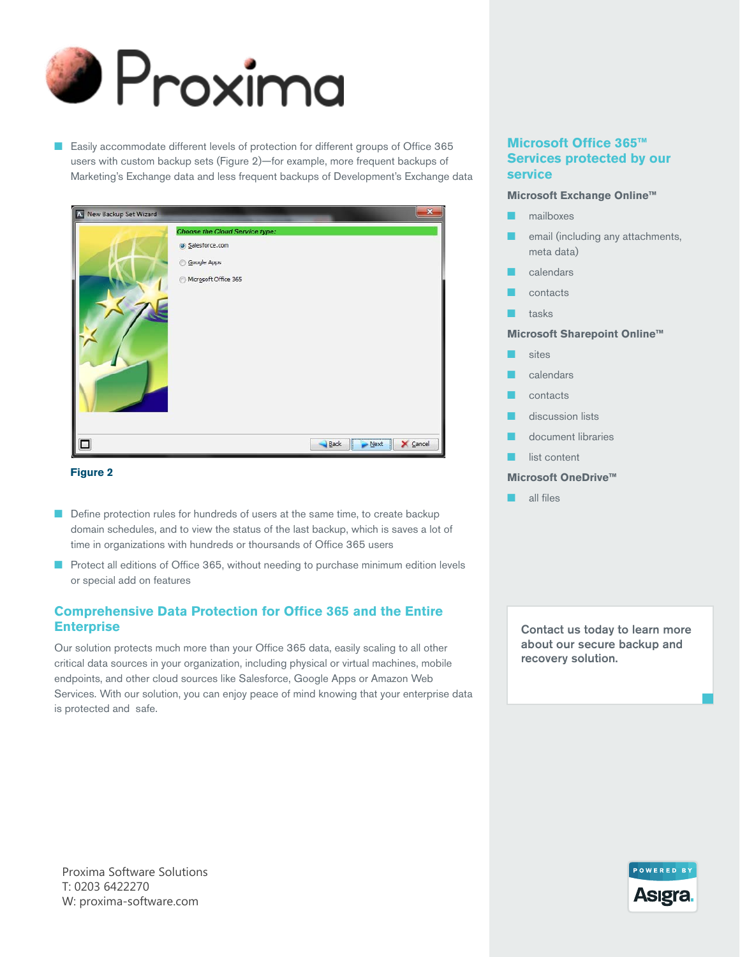

■ Easily accommodate different levels of protection for different groups of Office 365 users with custom backup sets (Figure 2)—for example, more frequent backups of Marketing's Exchange data and less frequent backups of Development's Exchange data



#### **Figure 2**

- Define protection rules for hundreds of users at the same time, to create backup domain schedules, and to view the status of the last backup, which is saves a lot of time in organizations with hundreds or thoursands of Office 365 users
- Protect all editions of Office 365, without needing to purchase minimum edition levels or special add on features

## **Comprehensive Data Protection for Office 365 and the Entire Enterprise**

Our solution protects much more than your Office 365 data, easily scaling to all other critical data sources in your organization, including physical or virtual machines, mobile endpoints, and other cloud sources like Salesforce, Google Apps or Amazon Web Services. With our solution, you can enjoy peace of mind knowing that your enterprise data is protected and safe.

## **Microsoft Office 365™ Services protected by our service**

#### **Microsoft Exchange Online™**

- mailboxes
- email (including any attachments, meta data)
- calendars
- contacts
- tasks

#### **Microsoft Sharepoint Online™**

- sites
- calendars
	- contacts
- discussion lists
- document libraries
- list content

#### **Microsoft OneDrive™**

all files

Contact us today to learn more about our secure backup and recovery solution.

Proxima Software Solutions T: 0203 6422270 W: proxima-software.com